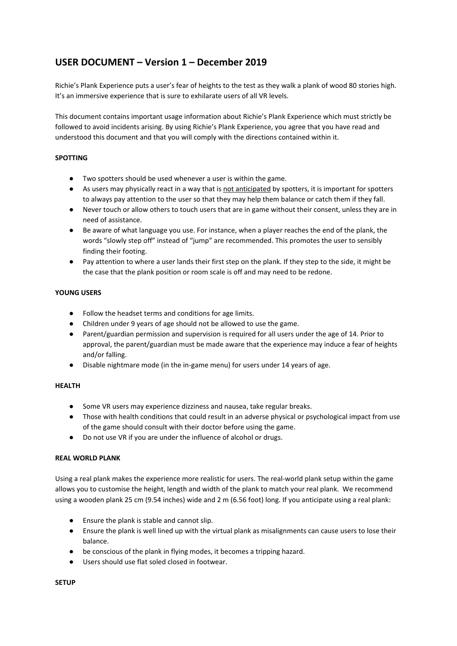# **USER DOCUMENT – Version 1 – December 2019**

Richie's Plank Experience puts a user's fear of heights to the test as they walk a plank of wood 80 stories high. It's an immersive experience that is sure to exhilarate users of all VR levels.

This document contains important usage information about Richie's Plank Experience which must strictly be followed to avoid incidents arising. By using Richie's Plank Experience, you agree that you have read and understood this document and that you will comply with the directions contained within it.

## **SPOTTING**

- Two spotters should be used whenever a user is within the game.
- As users may physically react in a way that is not anticipated by spotters, it is important for spotters to always pay attention to the user so that they may help them balance or catch them if they fall.
- Never touch or allow others to touch users that are in game without their consent, unless they are in need of assistance.
- Be aware of what language you use. For instance, when a player reaches the end of the plank, the words "slowly step off" instead of "jump" are recommended. This promotes the user to sensibly finding their footing.
- Pay attention to where a user lands their first step on the plank. If they step to the side, it might be the case that the plank position or room scale is off and may need to be redone.

## **YOUNG USERS**

- Follow the headset terms and conditions for age limits.
- Children under 9 years of age should not be allowed to use the game.
- Parent/guardian permission and supervision is required for all users under the age of 14. Prior to approval, the parent/guardian must be made aware that the experience may induce a fear of heights and/or falling.
- Disable nightmare mode (in the in-game menu) for users under 14 years of age.

#### **HEALTH**

- Some VR users may experience dizziness and nausea, take regular breaks.
- Those with health conditions that could result in an adverse physical or psychological impact from use of the game should consult with their doctor before using the game.
- Do not use VR if you are under the influence of alcohol or drugs.

#### **REAL WORLD PLANK**

Using a real plank makes the experience more realistic for users. The real-world plank setup within the game allows you to customise the height, length and width of the plank to match your real plank. We recommend using a wooden plank 25 cm (9.54 inches) wide and 2 m (6.56 foot) long. If you anticipate using a real plank:

- Ensure the plank is stable and cannot slip.
- Ensure the plank is well lined up with the virtual plank as misalignments can cause users to lose their balance.
- be conscious of the plank in flying modes, it becomes a tripping hazard.
- Users should use flat soled closed in footwear.